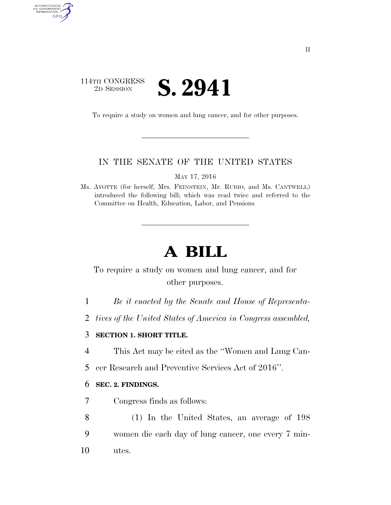## 114TH CONGRESS <sup>TH CONGRESS</sup> **S. 2941**

AUTHENTICATED<br>U.S. GOVERNMENT<br>INFORMATION

GPO

To require a study on women and lung cancer, and for other purposes.

### IN THE SENATE OF THE UNITED STATES

MAY 17, 2016

Ms. AYOTTE (for herself, Mrs. FEINSTEIN, Mr. RUBIO, and Ms. CANTWELL) introduced the following bill; which was read twice and referred to the Committee on Health, Education, Labor, and Pensions

# **A BILL**

## To require a study on women and lung cancer, and for other purposes.

- 1 *Be it enacted by the Senate and House of Representa-*
- 2 *tives of the United States of America in Congress assembled,*

#### 3 **SECTION 1. SHORT TITLE.**

- 4 This Act may be cited as the ''Women and Lung Can-
- 5 cer Research and Preventive Services Act of 2016''.

#### 6 **SEC. 2. FINDINGS.**

- 7 Congress finds as follows:
- 8 (1) In the United States, an average of 198 9 women die each day of lung cancer, one every 7 min-10 utes.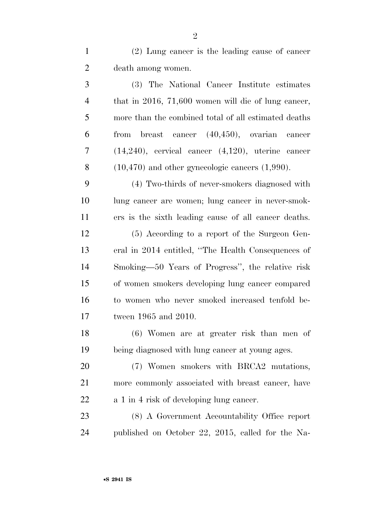(2) Lung cancer is the leading cause of cancer death among women.

 (3) The National Cancer Institute estimates that in 2016, 71,600 women will die of lung cancer, more than the combined total of all estimated deaths from breast cancer (40,450), ovarian cancer (14,240), cervical cancer (4,120), uterine cancer (10,470) and other gynecologic cancers (1,990).

 (4) Two-thirds of never-smokers diagnosed with lung cancer are women; lung cancer in never-smok- ers is the sixth leading cause of all cancer deaths. (5) According to a report of the Surgeon Gen- eral in 2014 entitled, ''The Health Consequences of Smoking—50 Years of Progress'', the relative risk

 of women smokers developing lung cancer compared to women who never smoked increased tenfold be-tween 1965 and 2010.

 (6) Women are at greater risk than men of being diagnosed with lung cancer at young ages.

 (7) Women smokers with BRCA2 mutations, more commonly associated with breast cancer, have a 1 in 4 risk of developing lung cancer.

 (8) A Government Accountability Office report published on October 22, 2015, called for the Na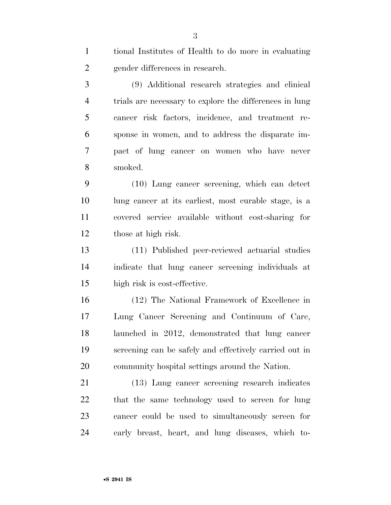tional Institutes of Health to do more in evaluating gender differences in research.

 (9) Additional research strategies and clinical trials are necessary to explore the differences in lung cancer risk factors, incidence, and treatment re- sponse in women, and to address the disparate im- pact of lung cancer on women who have never smoked.

 (10) Lung cancer screening, which can detect lung cancer at its earliest, most curable stage, is a covered service available without cost-sharing for those at high risk.

 (11) Published peer-reviewed actuarial studies indicate that lung cancer screening individuals at high risk is cost-effective.

 (12) The National Framework of Excellence in Lung Cancer Screening and Continuum of Care, launched in 2012, demonstrated that lung cancer screening can be safely and effectively carried out in community hospital settings around the Nation.

 (13) Lung cancer screening research indicates that the same technology used to screen for lung cancer could be used to simultaneously screen for early breast, heart, and lung diseases, which to-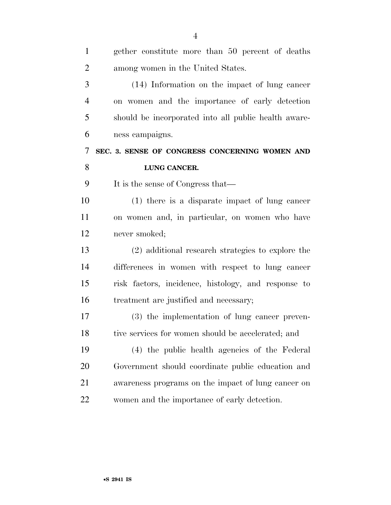| $\mathbf{1}$   | gether constitute more than 50 percent of deaths     |
|----------------|------------------------------------------------------|
| 2              | among women in the United States.                    |
| 3              | (14) Information on the impact of lung cancer        |
| $\overline{4}$ | on women and the importance of early detection       |
| 5              | should be incorporated into all public health aware- |
| 6              | ness campaigns.                                      |
| 7              | SEC. 3. SENSE OF CONGRESS CONCERNING WOMEN AND       |
| 8              | LUNG CANCER.                                         |
| 9              | It is the sense of Congress that—                    |
| 10             | $(1)$ there is a disparate impact of lung cancer     |
| 11             | on women and, in particular, on women who have       |
| 12             | never smoked;                                        |
| 13             | (2) additional research strategies to explore the    |
| 14             | differences in women with respect to lung cancer     |
| 15             | risk factors, incidence, histology, and response to  |
| 16             | treatment are justified and necessary;               |
| 17             | (3) the implementation of lung cancer preven-        |
| 18             | tive services for women should be accelerated; and   |
| 19             | (4) the public health agencies of the Federal        |
| 20             | Government should coordinate public education and    |
| 21             | awareness programs on the impact of lung cancer on   |
| 22             | women and the importance of early detection.         |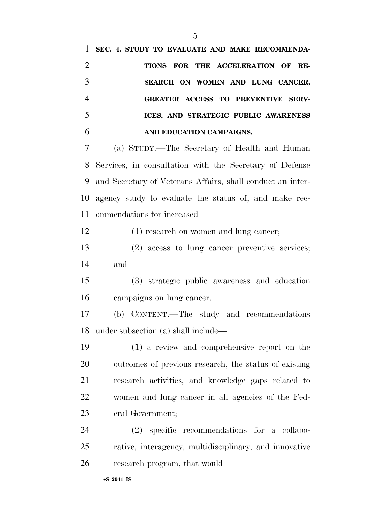**SEC. 4. STUDY TO EVALUATE AND MAKE RECOMMENDA- TIONS FOR THE ACCELERATION OF RE- SEARCH ON WOMEN AND LUNG CANCER, GREATER ACCESS TO PREVENTIVE SERV- ICES, AND STRATEGIC PUBLIC AWARENESS AND EDUCATION CAMPAIGNS.**  (a) STUDY.—The Secretary of Health and Human Services, in consultation with the Secretary of Defense and Secretary of Veterans Affairs, shall conduct an inter- agency study to evaluate the status of, and make rec- ommendations for increased— (1) research on women and lung cancer; (2) access to lung cancer preventive services; and (3) strategic public awareness and education campaigns on lung cancer. (b) CONTENT.—The study and recommendations under subsection (a) shall include— (1) a review and comprehensive report on the outcomes of previous research, the status of existing research activities, and knowledge gaps related to women and lung cancer in all agencies of the Fed-

eral Government;

 (2) specific recommendations for a collabo- rative, interagency, multidisciplinary, and innovative research program, that would—